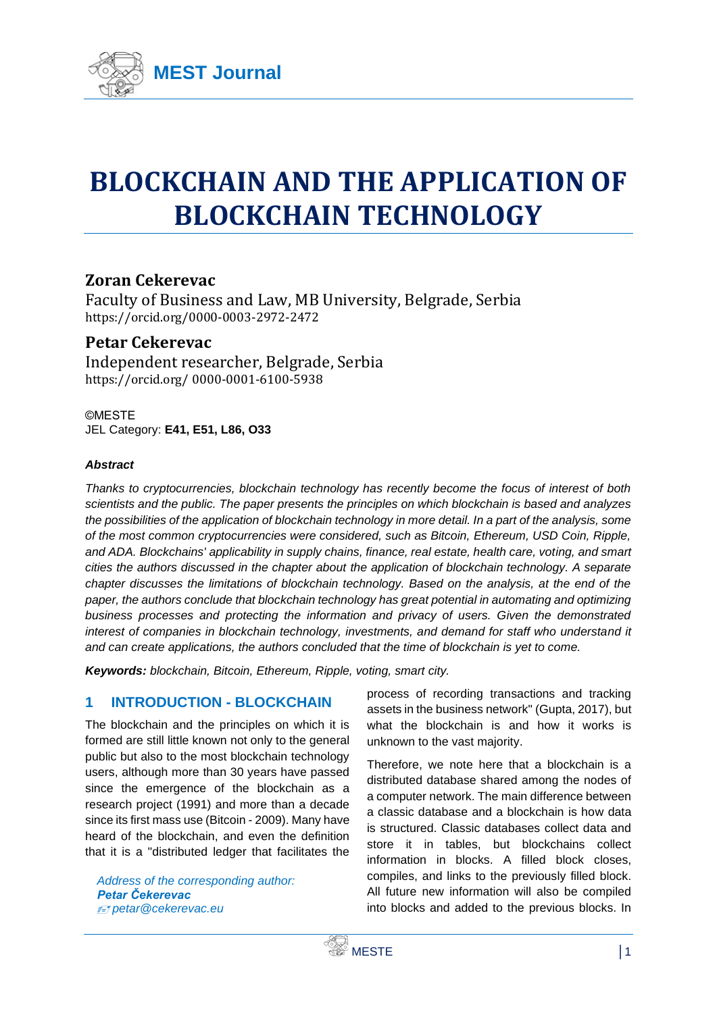

# **BLOCKCHAIN AND THE APPLICATION OF BLOCKCHAIN TECHNOLOGY**

# **Zoran Cekerevac**

Faculty of Business and Law, MB University, Belgrade, Serbia <https://orcid.org/0000-0003-2972-2472>

# **Petar Cekerevac**

Independent researcher, Belgrade, Serbia https://orcid.org/ 0000-0001-6100-5938

©MESTE JEL Category: **E41, E51, L86, O33**

#### *Abstract*

*Thanks to cryptocurrencies, blockchain technology has recently become the focus of interest of both scientists and the public. The paper presents the principles on which blockchain is based and analyzes the possibilities of the application of blockchain technology in more detail. In a part of the analysis, some of the most common cryptocurrencies were considered, such as Bitcoin, Ethereum, USD Coin, Ripple, and ADA. Blockchains' applicability in supply chains, finance, real estate, health care, voting, and smart cities the authors discussed in the chapter about the application of blockchain technology. A separate chapter discusses the limitations of blockchain technology. Based on the analysis, at the end of the paper, the authors conclude that blockchain technology has great potential in automating and optimizing business processes and protecting the information and privacy of users. Given the demonstrated interest of companies in blockchain technology, investments, and demand for staff who understand it and can create applications, the authors concluded that the time of blockchain is yet to come.*

*Keywords: blockchain, Bitcoin, Ethereum, Ripple, voting, smart city.*

# **1 INTRODUCTION - BLOCKCHAIN**

The blockchain and the principles on which it is formed are still little known not only to the general public but also to the most blockchain technology users, although more than 30 years have passed since the emergence of the blockchain as a research project (1991) and more than a decade since its first mass use (Bitcoin - 2009). Many have heard of the blockchain, and even the definition that it is a "distributed ledger that facilitates the

*Address of the corresponding author: Petar Čekerevac petar@cekerevac.eu*

process of recording transactions and tracking assets in the business network" (Gupta, 2017), but what the blockchain is and how it works is unknown to the vast majority.

Therefore, we note here that a blockchain is a distributed database shared among the nodes of a computer network. The main difference between a classic database and a blockchain is how data is structured. Classic databases collect data and store it in tables, but blockchains collect information in blocks. A filled block closes, compiles, and links to the previously filled block. All future new information will also be compiled into blocks and added to the previous blocks. In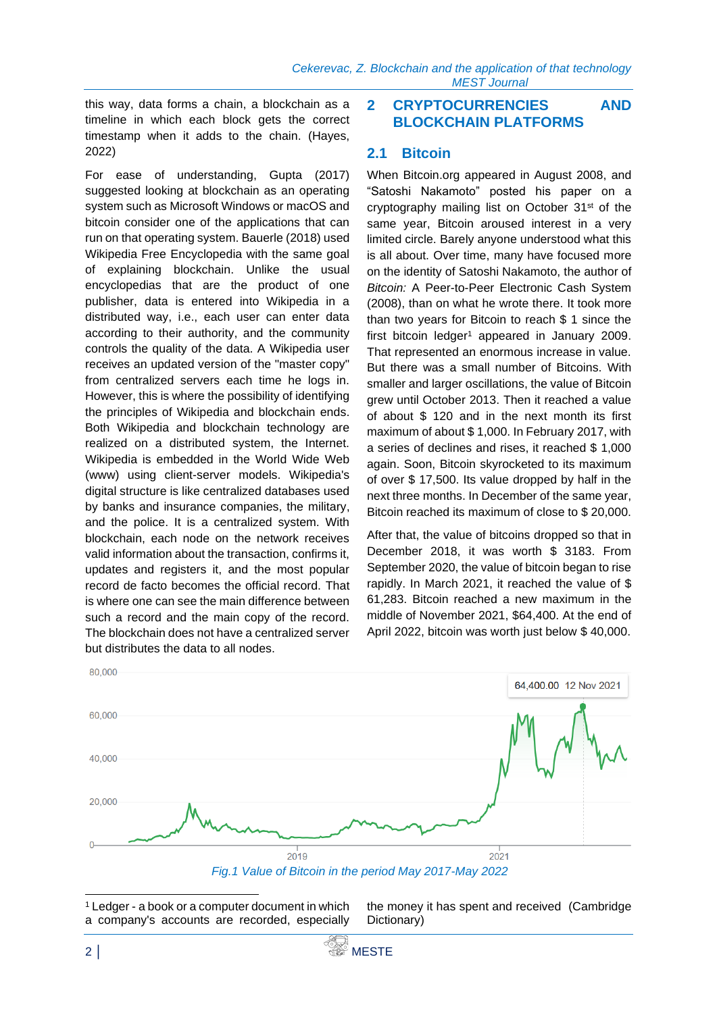this way, data forms a chain, a blockchain as a timeline in which each block gets the correct timestamp when it adds to the chain. (Hayes, 2022)

For ease of understanding, Gupta (2017) suggested looking at blockchain as an operating system such as Microsoft Windows or macOS and bitcoin consider one of the applications that can run on that operating system. Bauerle (2018) used Wikipedia Free Encyclopedia with the same goal of explaining blockchain. Unlike the usual encyclopedias that are the product of one publisher, data is entered into Wikipedia in a distributed way, i.e., each user can enter data according to their authority, and the community controls the quality of the data. A Wikipedia user receives an updated version of the "master copy" from centralized servers each time he logs in. However, this is where the possibility of identifying the principles of Wikipedia and blockchain ends. Both Wikipedia and blockchain technology are realized on a distributed system, the Internet. Wikipedia is embedded in the World Wide Web (www) using client-server models. Wikipedia's digital structure is like centralized databases used by banks and insurance companies, the military, and the police. It is a centralized system. With blockchain, each node on the network receives valid information about the transaction, confirms it, updates and registers it, and the most popular record de facto becomes the official record. That is where one can see the main difference between such a record and the main copy of the record. The blockchain does not have a centralized server but distributes the data to all nodes.

#### **2 CRYPTOCURRENCIES AND BLOCKCHAIN PLATFORMS**

#### **2.1 Bitcoin**

When Bitcoin.org appeared in August 2008, and "Satoshi Nakamoto" posted his paper on a cryptography mailing list on October 31<sup>st</sup> of the same year, Bitcoin aroused interest in a very limited circle. Barely anyone understood what this is all about. Over time, many have focused more on the identity of Satoshi Nakamoto, the author of *Bitcoin:* A Peer-to-Peer Electronic Cash System (2008), than on what he wrote there. It took more than two years for Bitcoin to reach \$ 1 since the first bitcoin ledger<sup>1</sup> appeared in January 2009. That represented an enormous increase in value. But there was a small number of Bitcoins. With smaller and larger oscillations, the value of Bitcoin grew until October 2013. Then it reached a value of about \$ 120 and in the next month its first maximum of about \$ 1,000. In February 2017, with a series of declines and rises, it reached \$ 1,000 again. Soon, Bitcoin skyrocketed to its maximum of over \$ 17,500. Its value dropped by half in the next three months. In December of the same year, Bitcoin reached its maximum of close to \$ 20,000.

After that, the value of bitcoins dropped so that in December 2018, it was worth \$ 3183. From September 2020, the value of bitcoin began to rise rapidly. In March 2021, it reached the value of \$ 61,283. Bitcoin reached a new maximum in the middle of November 2021, \$64,400. At the end of April 2022, bitcoin was worth just below \$ 40,000.



*Fig.1 Value of Bitcoin in the period May 2017-May 2022*

the money it has spent and received (Cambridge Dictionary)

<sup>1</sup> Ledger - a book or a computer document in which a company's accounts are recorded, especially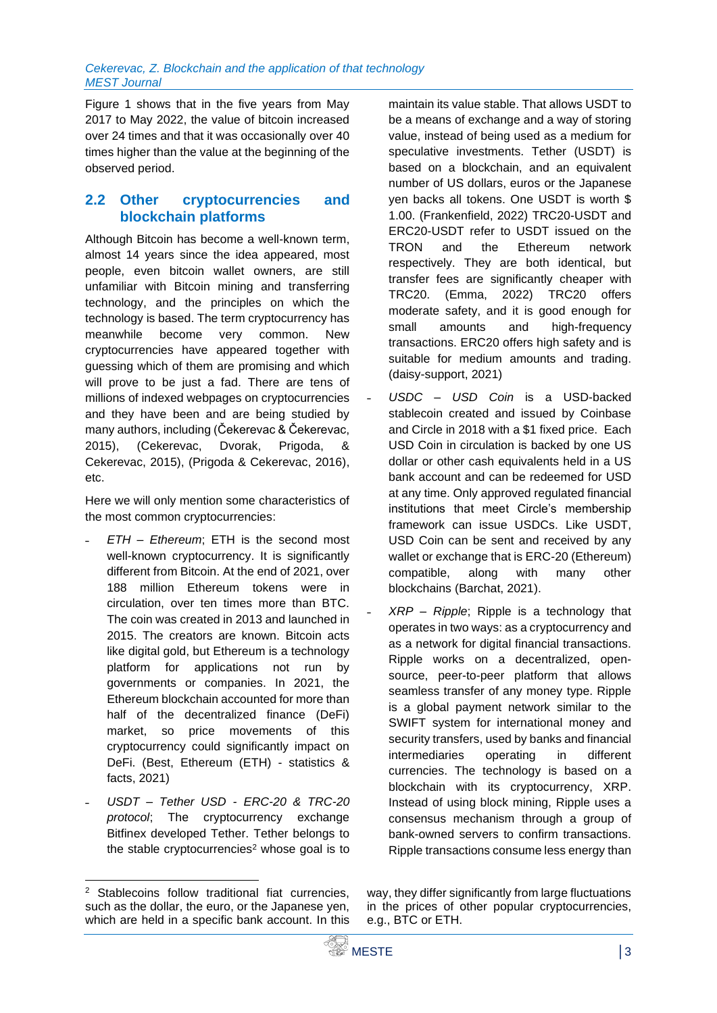Figure 1 shows that in the five years from May 2017 to May 2022, the value of bitcoin increased over 24 times and that it was occasionally over 40 times higher than the value at the beginning of the observed period.

#### **2.2 Other cryptocurrencies and blockchain platforms**

Although Bitcoin has become a well-known term, almost 14 years since the idea appeared, most people, even bitcoin wallet owners, are still unfamiliar with Bitcoin mining and transferring technology, and the principles on which the technology is based. The term cryptocurrency has meanwhile become very common. New cryptocurrencies have appeared together with guessing which of them are promising and which will prove to be just a fad. There are tens of millions of indexed webpages on cryptocurrencies and they have been and are being studied by many authors, including (Čekerevac & Čekerevac, 2015), (Cekerevac, Dvorak, Prigoda, & Cekerevac, 2015), (Prigoda & Cekerevac, 2016), etc.

Here we will only mention some characteristics of the most common cryptocurrencies:

- ˗ *ETH – Ethereum*; ETH is the second most well-known cryptocurrency. It is significantly different from Bitcoin. At the end of 2021, over 188 million Ethereum tokens were in circulation, over ten times more than BTC. The coin was created in 2013 and launched in 2015. The creators are known. Bitcoin acts like digital gold, but Ethereum is a technology platform for applications not run by governments or companies. In 2021, the Ethereum blockchain accounted for more than half of the decentralized finance (DeFi) market, so price movements of this cryptocurrency could significantly impact on DeFi. (Best, Ethereum (ETH) - statistics & facts, 2021)
- ˗ *USDT – Tether USD - ERC-20 & TRC-20 protocol*; The cryptocurrency exchange Bitfinex developed Tether. Tether belongs to the stable cryptocurrencies<sup>2</sup> whose goal is to

maintain its value stable. That allows USDT to be a means of exchange and a way of storing value, instead of being used as a medium for speculative investments. Tether (USDT) is based on a blockchain, and an equivalent number of US dollars, euros or the Japanese yen backs all tokens. One USDT is worth \$ 1.00. (Frankenfield, 2022) TRC20-USDT and ERC20-USDT refer to USDT issued on the TRON and the Ethereum network respectively. They are both identical, but transfer fees are significantly cheaper with TRC20. (Emma, 2022) TRC20 offers moderate safety, and it is good enough for small amounts and high-frequency transactions. ERC20 offers high safety and is suitable for medium amounts and trading. (daisy-support, 2021)

- ˗ *USDC – USD Coin* is a USD-backed stablecoin created and issued by Coinbase and Circle in 2018 with a \$1 fixed price. Each USD Coin in circulation is backed by one US dollar or other cash equivalents held in a US bank account and can be redeemed for USD at any time. Only approved regulated financial institutions that meet Circle's membership framework can issue USDCs. Like USDT, USD Coin can be sent and received by any wallet or exchange that is ERC-20 (Ethereum) compatible, along with many other blockchains (Barchat, 2021).
- ˗ *XRP – Ripple*; Ripple is a technology that operates in two ways: as a cryptocurrency and as a network for digital financial transactions. Ripple works on a decentralized, opensource, peer-to-peer platform that allows seamless transfer of any money type. Ripple is a global payment network similar to the SWIFT system for international money and security transfers, used by banks and financial intermediaries operating in different currencies. The technology is based on a blockchain with its cryptocurrency, XRP. Instead of using block mining, Ripple uses a consensus mechanism through a group of bank-owned servers to confirm transactions. Ripple transactions consume less energy than

way, they differ significantly from large fluctuations in the prices of other popular cryptocurrencies, e.g., BTC or ETH.

Stablecoins follow traditional fiat currencies, such as the dollar, the euro, or the Japanese yen, which are held in a specific bank account. In this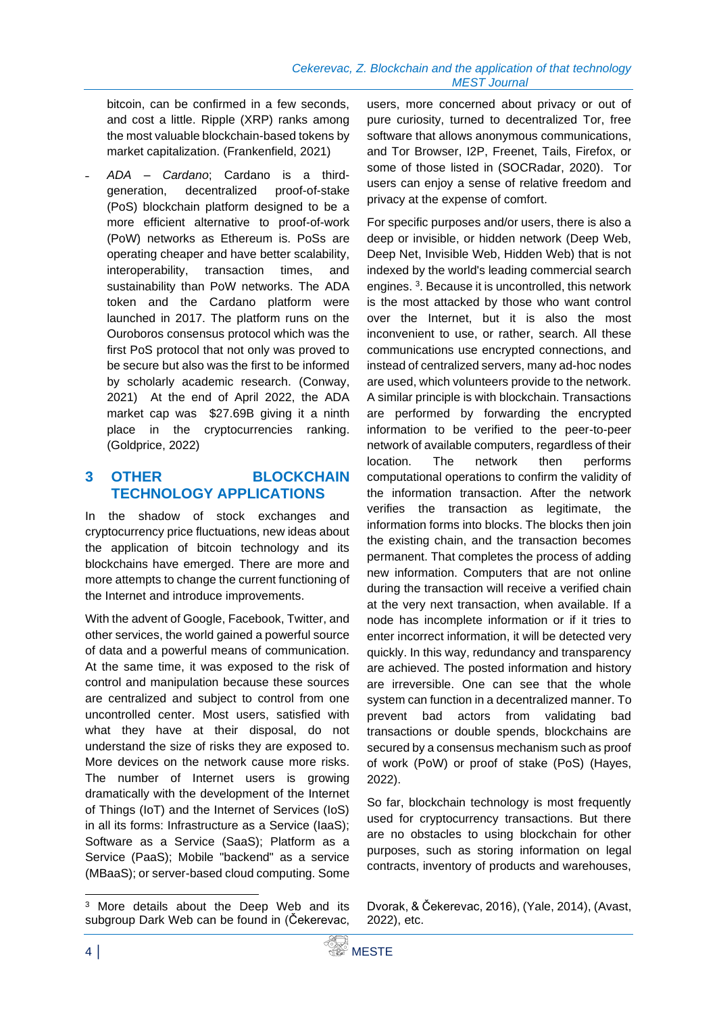bitcoin, can be confirmed in a few seconds, and cost a little. Ripple (XRP) ranks among the most valuable blockchain-based tokens by market capitalization. (Frankenfield, 2021)

˗ *ADA – Cardano*; Cardano is a thirdgeneration, decentralized proof-of-stake (PoS) blockchain platform designed to be a more efficient alternative to proof-of-work (PoW) networks as Ethereum is. PoSs are operating cheaper and have better scalability, interoperability, transaction times, and sustainability than PoW networks. The ADA token and the Cardano platform were launched in 2017. The platform runs on the Ouroboros consensus protocol which was the first PoS protocol that not only was proved to be secure but also was the first to be informed by scholarly academic research. (Conway, 2021) At the end of April 2022, the ADA market cap was \$27.69B giving it a ninth place in the cryptocurrencies ranking. (Goldprice, 2022)

#### **3 OTHER BLOCKCHAIN TECHNOLOGY APPLICATIONS**

In the shadow of stock exchanges and cryptocurrency price fluctuations, new ideas about the application of bitcoin technology and its blockchains have emerged. There are more and more attempts to change the current functioning of the Internet and introduce improvements.

With the advent of Google, Facebook, Twitter, and other services, the world gained a powerful source of data and a powerful means of communication. At the same time, it was exposed to the risk of control and manipulation because these sources are centralized and subject to control from one uncontrolled center. Most users, satisfied with what they have at their disposal, do not understand the size of risks they are exposed to. More devices on the network cause more risks. The number of Internet users is growing dramatically with the development of the Internet of Things (IoT) and the Internet of Services (IoS) in all its forms: Infrastructure as a Service (IaaS); Software as a Service (SaaS); Platform as a Service (PaaS); Mobile "backend" as a service (MBaaS); or server-based cloud computing. Some

users, more concerned about privacy or out of pure curiosity, turned to decentralized Tor, free software that allows anonymous communications, and Tor Browser, I2P, Freenet, Tails, Firefox, or some of those listed in (SOCRadar, 2020). Tor users can enjoy a sense of relative freedom and privacy at the expense of comfort.

For specific purposes and/or users, there is also a deep or invisible, or hidden network (Deep Web, Deep Net, Invisible Web, Hidden Web) that is not indexed by the world's leading commercial search engines. <sup>3</sup> . Because it is uncontrolled, this network is the most attacked by those who want control over the Internet, but it is also the most inconvenient to use, or rather, search. All these communications use encrypted connections, and instead of centralized servers, many ad-hoc nodes are used, which volunteers provide to the network. A similar principle is with blockchain. Transactions are performed by forwarding the encrypted information to be verified to the peer-to-peer network of available computers, regardless of their location. The network then performs computational operations to confirm the validity of the information transaction. After the network verifies the transaction as legitimate, the information forms into blocks. The blocks then join the existing chain, and the transaction becomes permanent. That completes the process of adding new information. Computers that are not online during the transaction will receive a verified chain at the very next transaction, when available. If a node has incomplete information or if it tries to enter incorrect information, it will be detected very quickly. In this way, redundancy and transparency are achieved. The posted information and history are irreversible. One can see that the whole system can function in a decentralized manner. To prevent bad actors from validating bad transactions or double spends, blockchains are secured by a consensus mechanism such as proof of work (PoW) or proof of stake (PoS) (Hayes, 2022).

So far, blockchain technology is most frequently used for cryptocurrency transactions. But there are no obstacles to using blockchain for other purposes, such as storing information on legal contracts, inventory of products and warehouses,

Dvorak, & Čekerevac, 2016), (Yale, 2014), (Avast, 2022), etc.

<sup>3</sup> More details about the Deep Web and its subgroup Dark Web can be found in (Čekerevac,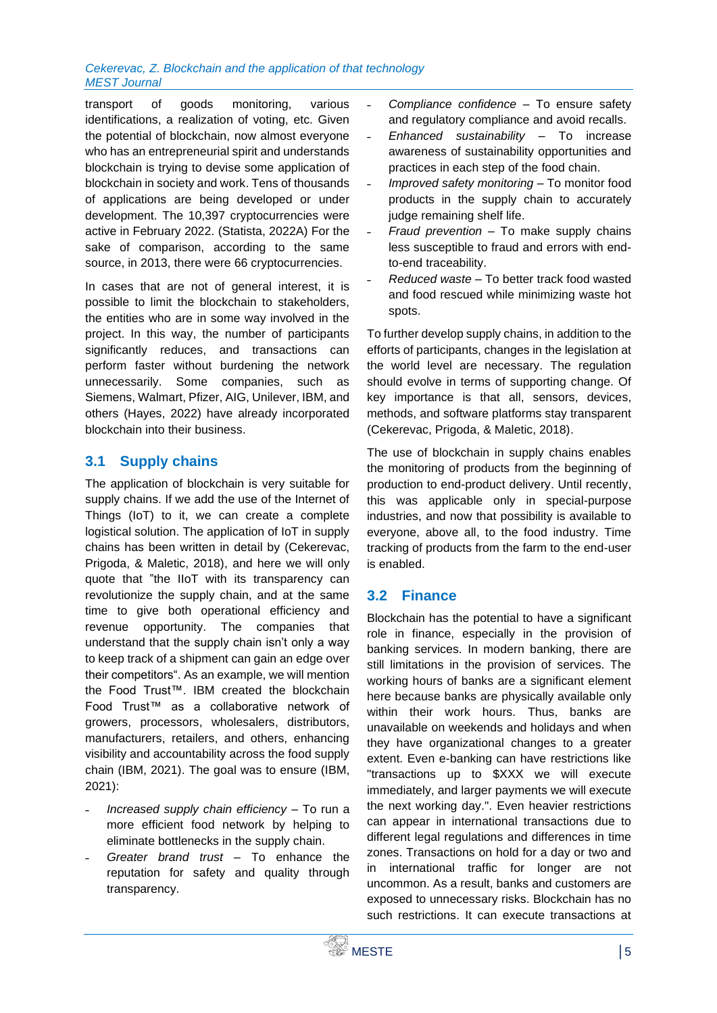#### *Cekerevac, Z. Blockchain and the application of that technology MEST Journal*

transport of goods monitoring, various identifications, a realization of voting, etc. Given the potential of blockchain, now almost everyone who has an entrepreneurial spirit and understands blockchain is trying to devise some application of blockchain in society and work. Tens of thousands of applications are being developed or under development. The 10,397 cryptocurrencies were active in February 2022. (Statista, 2022A) For the sake of comparison, according to the same source, in 2013, there were 66 cryptocurrencies.

In cases that are not of general interest, it is possible to limit the blockchain to stakeholders, the entities who are in some way involved in the project. In this way, the number of participants significantly reduces, and transactions can perform faster without burdening the network unnecessarily. Some companies, such as Siemens, Walmart, Pfizer, AIG, Unilever, IBM, and others (Hayes, 2022) have already incorporated blockchain into their business.

# **3.1 Supply chains**

The application of blockchain is very suitable for supply chains. If we add the use of the Internet of Things (IoT) to it, we can create a complete logistical solution. The application of IoT in supply chains has been written in detail by (Cekerevac, Prigoda, & Maletic, 2018), and here we will only quote that "the IIoT with its transparency can revolutionize the supply chain, and at the same time to give both operational efficiency and revenue opportunity. The companies that understand that the supply chain isn't only a way to keep track of a shipment can gain an edge over their competitors". As an example, we will mention the Food Trust™. IBM created the blockchain Food Trust™ as a collaborative network of growers, processors, wholesalers, distributors, manufacturers, retailers, and others, enhancing visibility and accountability across the food supply chain (IBM, 2021). The goal was to ensure (IBM, 2021):

- ˗ *Increased supply chain efficiency* To run a more efficient food network by helping to eliminate bottlenecks in the supply chain.
- ˗ *Greater brand trust* To enhance the reputation for safety and quality through transparency.
- ˗ *Compliance confidence* To ensure safety and regulatory compliance and avoid recalls.
- ˗ *Enhanced sustainability* To increase awareness of sustainability opportunities and practices in each step of the food chain.
- ˗ *Improved safety monitoring* To monitor food products in the supply chain to accurately judge remaining shelf life.
- ˗ *Fraud prevention* To make supply chains less susceptible to fraud and errors with endto-end traceability.
- ˗ *Reduced waste* To better track food wasted and food rescued while minimizing waste hot spots.

To further develop supply chains, in addition to the efforts of participants, changes in the legislation at the world level are necessary. The regulation should evolve in terms of supporting change. Of key importance is that all, sensors, devices, methods, and software platforms stay transparent (Cekerevac, Prigoda, & Maletic, 2018).

The use of blockchain in supply chains enables the monitoring of products from the beginning of production to end-product delivery. Until recently, this was applicable only in special-purpose industries, and now that possibility is available to everyone, above all, to the food industry. Time tracking of products from the farm to the end-user is enabled.

# **3.2 Finance**

Blockchain has the potential to have a significant role in finance, especially in the provision of banking services. In modern banking, there are still limitations in the provision of services. The working hours of banks are a significant element here because banks are physically available only within their work hours. Thus, banks are unavailable on weekends and holidays and when they have organizational changes to a greater extent. Even e-banking can have restrictions like "transactions up to \$XXX we will execute immediately, and larger payments we will execute the next working day.". Even heavier restrictions can appear in international transactions due to different legal regulations and differences in time zones. Transactions on hold for a day or two and in international traffic for longer are not uncommon. As a result, banks and customers are exposed to unnecessary risks. Blockchain has no such restrictions. It can execute transactions at

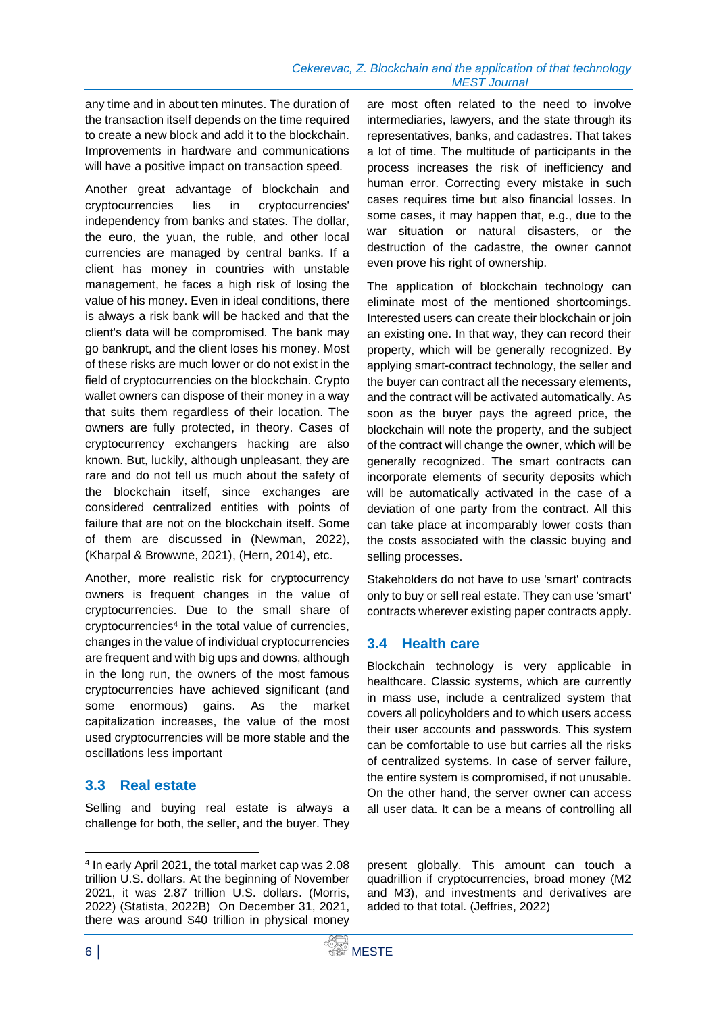any time and in about ten minutes. The duration of the transaction itself depends on the time required to create a new block and add it to the blockchain. Improvements in hardware and communications will have a positive impact on transaction speed.

Another great advantage of blockchain and cryptocurrencies lies in cryptocurrencies' independency from banks and states. The dollar, the euro, the yuan, the ruble, and other local currencies are managed by central banks. If a client has money in countries with unstable management, he faces a high risk of losing the value of his money. Even in ideal conditions, there is always a risk bank will be hacked and that the client's data will be compromised. The bank may go bankrupt, and the client loses his money. Most of these risks are much lower or do not exist in the field of cryptocurrencies on the blockchain. Crypto wallet owners can dispose of their money in a way that suits them regardless of their location. The owners are fully protected, in theory. Cases of cryptocurrency exchangers hacking are also known. But, luckily, although unpleasant, they are rare and do not tell us much about the safety of the blockchain itself, since exchanges are considered centralized entities with points of failure that are not on the blockchain itself. Some of them are discussed in (Newman, 2022), (Kharpal & Browwne, 2021), (Hern, 2014), etc.

Another, more realistic risk for cryptocurrency owners is frequent changes in the value of cryptocurrencies. Due to the small share of cryptocurrencies<sup>4</sup> in the total value of currencies, changes in the value of individual cryptocurrencies are frequent and with big ups and downs, although in the long run, the owners of the most famous cryptocurrencies have achieved significant (and some enormous) gains. As the market capitalization increases, the value of the most used cryptocurrencies will be more stable and the oscillations less important

# **3.3 Real estate**

Selling and buying real estate is always a challenge for both, the seller, and the buyer. They

are most often related to the need to involve intermediaries, lawyers, and the state through its representatives, banks, and cadastres. That takes a lot of time. The multitude of participants in the process increases the risk of inefficiency and human error. Correcting every mistake in such cases requires time but also financial losses. In some cases, it may happen that, e.g., due to the war situation or natural disasters, or the destruction of the cadastre, the owner cannot even prove his right of ownership.

The application of blockchain technology can eliminate most of the mentioned shortcomings. Interested users can create their blockchain or join an existing one. In that way, they can record their property, which will be generally recognized. By applying smart-contract technology, the seller and the buyer can contract all the necessary elements, and the contract will be activated automatically. As soon as the buyer pays the agreed price, the blockchain will note the property, and the subject of the contract will change the owner, which will be generally recognized. The smart contracts can incorporate elements of security deposits which will be automatically activated in the case of a deviation of one party from the contract. All this can take place at incomparably lower costs than the costs associated with the classic buying and selling processes.

Stakeholders do not have to use 'smart' contracts only to buy or sell real estate. They can use 'smart' contracts wherever existing paper contracts apply.

#### **3.4 Health care**

Blockchain technology is very applicable in healthcare. Classic systems, which are currently in mass use, include a centralized system that covers all policyholders and to which users access their user accounts and passwords. This system can be comfortable to use but carries all the risks of centralized systems. In case of server failure, the entire system is compromised, if not unusable. On the other hand, the server owner can access all user data. It can be a means of controlling all

present globally. This amount can touch a quadrillion if cryptocurrencies, broad money (M2 and M3), and investments and derivatives are added to that total. (Jeffries, 2022)

<sup>4</sup> In early April 2021, the total market cap was 2.08 trillion U.S. dollars. At the beginning of November 2021, it was 2.87 trillion U.S. dollars. (Morris, 2022) (Statista, 2022B) On December 31, 2021, there was around \$40 trillion in physical money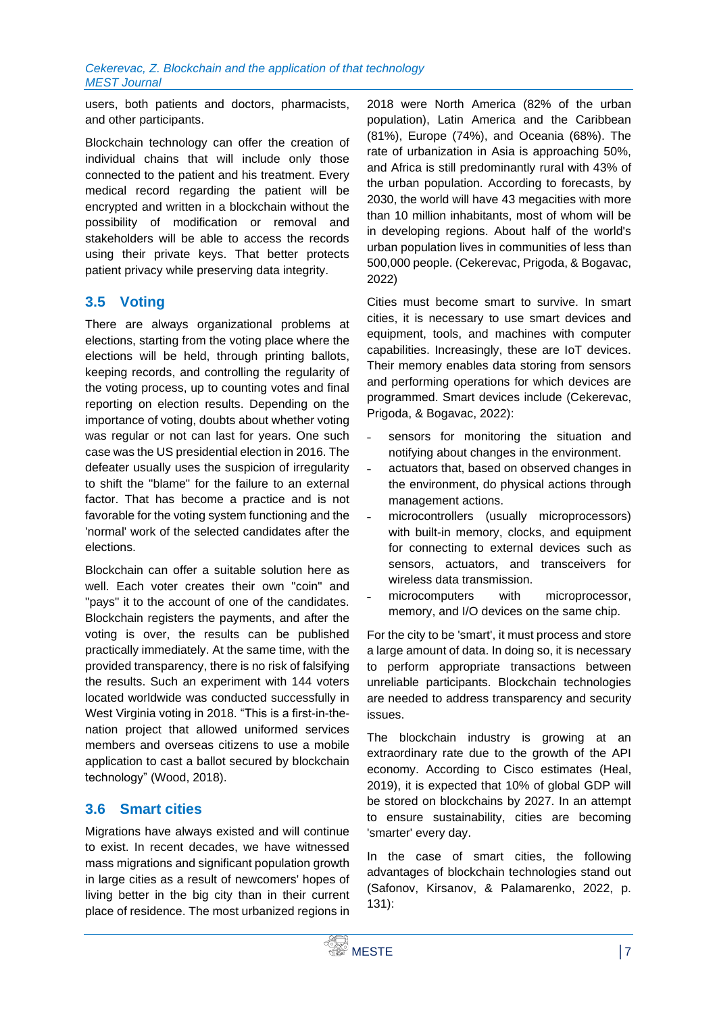users, both patients and doctors, pharmacists, and other participants.

Blockchain technology can offer the creation of individual chains that will include only those connected to the patient and his treatment. Every medical record regarding the patient will be encrypted and written in a blockchain without the possibility of modification or removal and stakeholders will be able to access the records using their private keys. That better protects patient privacy while preserving data integrity.

# **3.5 Voting**

There are always organizational problems at elections, starting from the voting place where the elections will be held, through printing ballots, keeping records, and controlling the regularity of the voting process, up to counting votes and final reporting on election results. Depending on the importance of voting, doubts about whether voting was regular or not can last for years. One such case was the US presidential election in 2016. The defeater usually uses the suspicion of irregularity to shift the "blame" for the failure to an external factor. That has become a practice and is not favorable for the voting system functioning and the 'normal' work of the selected candidates after the elections.

Blockchain can offer a suitable solution here as well. Each voter creates their own "coin" and "pays" it to the account of one of the candidates. Blockchain registers the payments, and after the voting is over, the results can be published practically immediately. At the same time, with the provided transparency, there is no risk of falsifying the results. Such an experiment with 144 voters located worldwide was conducted successfully in West Virginia voting in 2018. "This is a first-in-thenation project that allowed uniformed services members and overseas citizens to use a mobile application to cast a ballot secured by blockchain technology" (Wood, 2018).

# **3.6 Smart cities**

Migrations have always existed and will continue to exist. In recent decades, we have witnessed mass migrations and significant population growth in large cities as a result of newcomers' hopes of living better in the big city than in their current place of residence. The most urbanized regions in

2018 were North America (82% of the urban population), Latin America and the Caribbean (81%), Europe (74%), and Oceania (68%). The rate of urbanization in Asia is approaching 50%, and Africa is still predominantly rural with 43% of the urban population. According to forecasts, by 2030, the world will have 43 megacities with more than 10 million inhabitants, most of whom will be in developing regions. About half of the world's urban population lives in communities of less than 500,000 people. (Cekerevac, Prigoda, & Bogavac, 2022)

Cities must become smart to survive. In smart cities, it is necessary to use smart devices and equipment, tools, and machines with computer capabilities. Increasingly, these are IoT devices. Their memory enables data storing from sensors and performing operations for which devices are programmed. Smart devices include (Cekerevac, Prigoda, & Bogavac, 2022):

- sensors for monitoring the situation and notifying about changes in the environment.
- ˗ actuators that, based on observed changes in the environment, do physical actions through management actions.
- microcontrollers (usually microprocessors) with built-in memory, clocks, and equipment for connecting to external devices such as sensors, actuators, and transceivers for wireless data transmission.
- microcomputers with microprocessor, memory, and I/O devices on the same chip.

For the city to be 'smart', it must process and store a large amount of data. In doing so, it is necessary to perform appropriate transactions between unreliable participants. Blockchain technologies are needed to address transparency and security issues.

The blockchain industry is growing at an extraordinary rate due to the growth of the API economy. According to Cisco estimates (Heal, 2019), it is expected that 10% of global GDP will be stored on blockchains by 2027. In an attempt to ensure sustainability, cities are becoming 'smarter' every day.

In the case of smart cities, the following advantages of blockchain technologies stand out (Safonov, Kirsanov, & Palamarenko, 2022, p. 131):

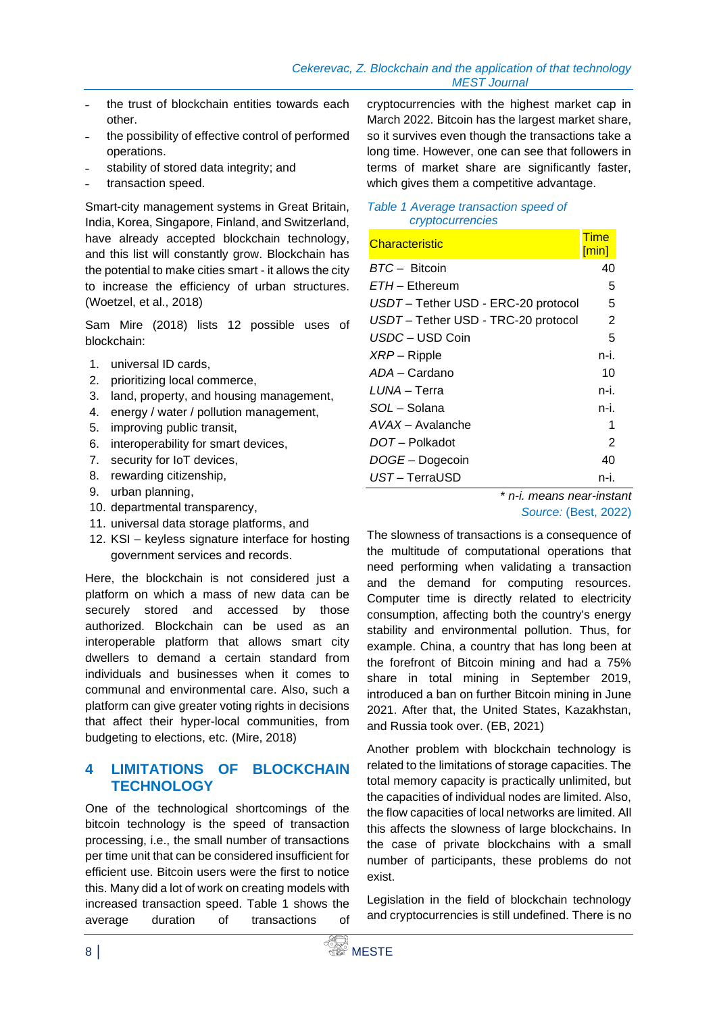- ˗ the trust of blockchain entities towards each other.
- ˗ the possibility of effective control of performed operations.
- stability of stored data integrity; and
- transaction speed.

Smart-city management systems in Great Britain, India, Korea, Singapore, Finland, and Switzerland, have already accepted blockchain technology, and this list will constantly grow. Blockchain has the potential to make cities smart - it allows the city to increase the efficiency of urban structures. (Woetzel, et al., 2018)

Sam Mire (2018) lists 12 possible uses of blockchain:

- 1. universal ID cards,
- 2. prioritizing local commerce,
- 3. land, property, and housing management,
- 4. energy / water / pollution management,
- 5. improving public transit,
- 6. interoperability for smart devices,
- 7. security for IoT devices,
- 8. rewarding citizenship,
- 9. urban planning,
- 10. departmental transparency,
- 11. universal data storage platforms, and
- 12. KSI keyless signature interface for hosting government services and records.

Here, the blockchain is not considered just a platform on which a mass of new data can be securely stored and accessed by those authorized. Blockchain can be used as an interoperable platform that allows smart city dwellers to demand a certain standard from individuals and businesses when it comes to communal and environmental care. Also, such a platform can give greater voting rights in decisions that affect their hyper-local communities, from budgeting to elections, etc. (Mire, 2018)

#### **4 LIMITATIONS OF BLOCKCHAIN TECHNOLOGY**

One of the technological shortcomings of the bitcoin technology is the speed of transaction processing, i.e., the small number of transactions per time unit that can be considered insufficient for efficient use. Bitcoin users were the first to notice this. Many did a lot of work on creating models with increased transaction speed. Table 1 shows the average duration of transactions of

cryptocurrencies with the highest market cap in March 2022. Bitcoin has the largest market share, so it survives even though the transactions take a long time. However, one can see that followers in terms of market share are significantly faster, which gives them a competitive advantage.

#### *Table 1 Average transaction speed of cryptocurrencies*

| Characteristic                    | Time  |
|-----------------------------------|-------|
|                                   | [min] |
| BTC-Bitcoin                       | 40    |
| $ETH$ – Ethereum                  | 5     |
| USDT-Tether USD - ERC-20 protocol | 5     |
| USDT-Tether USD - TRC-20 protocol | 2     |
| USDC - USD Coin                   | 5     |
| $XRP -$ Ripple                    | n-i.  |
| ADA – Cardano                     | 10    |
| <i>LUNA</i> – Terra               | n-i.  |
| SOL - Solana                      | n-i.  |
| AVAX - Avalanche                  | 1     |
| $DOT -$ Polkadot                  | 2     |
| DOGE-Dogecoin                     | 40    |
| UST-TerraUSD                      | n-i.  |

\* *n-i. means near-instant Source:* (Best, 2022)

The slowness of transactions is a consequence of the multitude of computational operations that need performing when validating a transaction and the demand for computing resources. Computer time is directly related to electricity consumption, affecting both the country's energy stability and environmental pollution. Thus, for example. China, a country that has long been at the forefront of Bitcoin mining and had a 75% share in total mining in September 2019, introduced a ban on further Bitcoin mining in June 2021. After that, the United States, Kazakhstan, and Russia took over. (EB, 2021)

Another problem with blockchain technology is related to the limitations of storage capacities. The total memory capacity is practically unlimited, but the capacities of individual nodes are limited. Also, the flow capacities of local networks are limited. All this affects the slowness of large blockchains. In the case of private blockchains with a small number of participants, these problems do not exist.

Legislation in the field of blockchain technology and cryptocurrencies is still undefined. There is no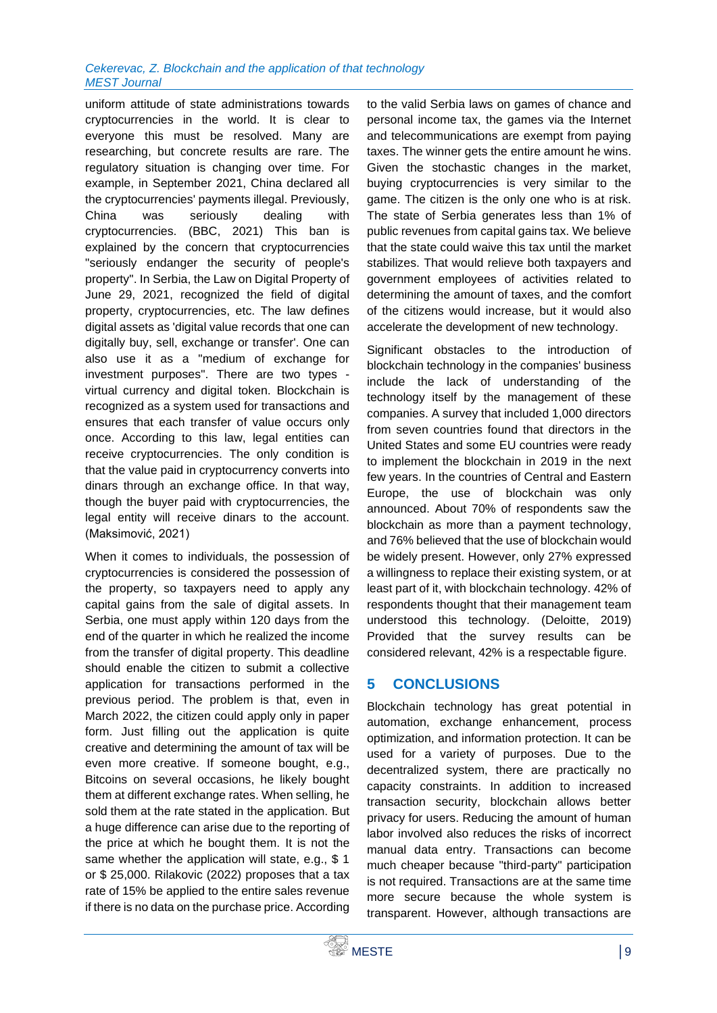#### *Cekerevac, Z. Blockchain and the application of that technology MEST Journal*

uniform attitude of state administrations towards cryptocurrencies in the world. It is clear to everyone this must be resolved. Many are researching, but concrete results are rare. The regulatory situation is changing over time. For example, in September 2021, China declared all the cryptocurrencies' payments illegal. Previously, China was seriously dealing with cryptocurrencies. (BBC, 2021) This ban is explained by the concern that cryptocurrencies "seriously endanger the security of people's property". In Serbia, the Law on Digital Property of June 29, 2021, recognized the field of digital property, cryptocurrencies, etc. The law defines digital assets as 'digital value records that one can digitally buy, sell, exchange or transfer'. One can also use it as a "medium of exchange for investment purposes". There are two types virtual currency and digital token. Blockchain is recognized as a system used for transactions and ensures that each transfer of value occurs only once. According to this law, legal entities can receive cryptocurrencies. The only condition is that the value paid in cryptocurrency converts into dinars through an exchange office. In that way, though the buyer paid with cryptocurrencies, the legal entity will receive dinars to the account. (Maksimović, 2021)

When it comes to individuals, the possession of cryptocurrencies is considered the possession of the property, so taxpayers need to apply any capital gains from the sale of digital assets. In Serbia, one must apply within 120 days from the end of the quarter in which he realized the income from the transfer of digital property. This deadline should enable the citizen to submit a collective application for transactions performed in the previous period. The problem is that, even in March 2022, the citizen could apply only in paper form. Just filling out the application is quite creative and determining the amount of tax will be even more creative. If someone bought, e.g., Bitcoins on several occasions, he likely bought them at different exchange rates. When selling, he sold them at the rate stated in the application. But a huge difference can arise due to the reporting of the price at which he bought them. It is not the same whether the application will state, e.g., \$1 or \$ 25,000. Rilakovic (2022) proposes that a tax rate of 15% be applied to the entire sales revenue if there is no data on the purchase price. According

to the valid Serbia laws on games of chance and personal income tax, the games via the Internet and telecommunications are exempt from paying taxes. The winner gets the entire amount he wins. Given the stochastic changes in the market, buying cryptocurrencies is very similar to the game. The citizen is the only one who is at risk. The state of Serbia generates less than 1% of public revenues from capital gains tax. We believe that the state could waive this tax until the market stabilizes. That would relieve both taxpayers and government employees of activities related to determining the amount of taxes, and the comfort of the citizens would increase, but it would also accelerate the development of new technology.

Significant obstacles to the introduction of blockchain technology in the companies' business include the lack of understanding of the technology itself by the management of these companies. A survey that included 1,000 directors from seven countries found that directors in the United States and some EU countries were ready to implement the blockchain in 2019 in the next few years. In the countries of Central and Eastern Europe, the use of blockchain was only announced. About 70% of respondents saw the blockchain as more than a payment technology, and 76% believed that the use of blockchain would be widely present. However, only 27% expressed a willingness to replace their existing system, or at least part of it, with blockchain technology. 42% of respondents thought that their management team understood this technology. (Deloitte, 2019) Provided that the survey results can be considered relevant, 42% is a respectable figure.

# **5 CONCLUSIONS**

Blockchain technology has great potential in automation, exchange enhancement, process optimization, and information protection. It can be used for a variety of purposes. Due to the decentralized system, there are practically no capacity constraints. In addition to increased transaction security, blockchain allows better privacy for users. Reducing the amount of human labor involved also reduces the risks of incorrect manual data entry. Transactions can become much cheaper because "third-party" participation is not required. Transactions are at the same time more secure because the whole system is transparent. However, although transactions are

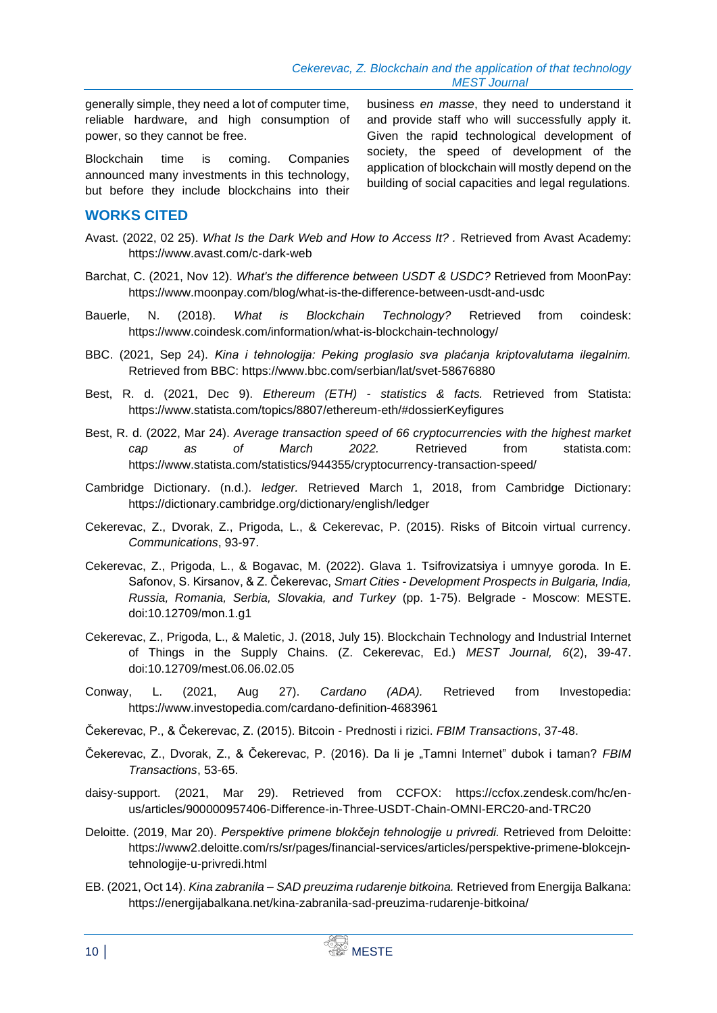generally simple, they need a lot of computer time, reliable hardware, and high consumption of power, so they cannot be free.

Blockchain time is coming. Companies announced many investments in this technology, but before they include blockchains into their

#### **WORKS CITED**

Avast. (2022, 02 25). *What Is the Dark Web and How to Access It? .* Retrieved from Avast Academy: https://www.avast.com/c-dark-web

- Barchat, C. (2021, Nov 12). *What's the difference between USDT & USDC?* Retrieved from MoonPay: https://www.moonpay.com/blog/what-is-the-difference-between-usdt-and-usdc
- Bauerle, N. (2018). *What is Blockchain Technology?* Retrieved from coindesk: https://www.coindesk.com/information/what-is-blockchain-technology/
- BBC. (2021, Sep 24). *Kina i tehnologija: Peking proglasio sva plaćanja kriptovalutama ilegalnim.* Retrieved from BBC: https://www.bbc.com/serbian/lat/svet-58676880
- Best, R. d. (2021, Dec 9). *Ethereum (ETH) - statistics & facts.* Retrieved from Statista: https://www.statista.com/topics/8807/ethereum-eth/#dossierKeyfigures
- Best, R. d. (2022, Mar 24). *Average transaction speed of 66 cryptocurrencies with the highest market cap as of March 2022.* Retrieved from statista.com: https://www.statista.com/statistics/944355/cryptocurrency-transaction-speed/
- Cambridge Dictionary. (n.d.). *ledger.* Retrieved March 1, 2018, from Cambridge Dictionary: https://dictionary.cambridge.org/dictionary/english/ledger
- Cekerevac, Z., Dvorak, Z., Prigoda, L., & Cekerevac, P. (2015). Risks of Bitcoin virtual currency. *Communications*, 93-97.
- Cekerevac, Z., Prigoda, L., & Bogavac, M. (2022). Glava 1. Tsifrovizatsiya i umnyye goroda. In E. Safonov, S. Kirsanov, & Z. Čekerevac, *Smart Cities - Development Prospects in Bulgaria, India, Russia, Romania, Serbia, Slovakia, and Turkey* (pp. 1-75). Belgrade - Moscow: MESTE. doi:10.12709/mon.1.g1
- Cekerevac, Z., Prigoda, L., & Maletic, J. (2018, July 15). Blockchain Technology and Industrial Internet of Things in the Supply Chains. (Z. Cekerevac, Ed.) *MEST Journal, 6*(2), 39-47. doi:10.12709/mest.06.06.02.05
- Conway, L. (2021, Aug 27). *Cardano (ADA).* Retrieved from Investopedia: https://www.investopedia.com/cardano-definition-4683961
- Čekerevac, P., & Čekerevac, Z. (2015). Bitcoin Prednosti i rizici. *FBIM Transactions*, 37-48.
- Čekerevac, Z., Dvorak, Z., & Čekerevac, P. (2016). Da li je "Tamni Internet" dubok i taman? *FBIM Transactions*, 53-65.
- daisy-support. (2021, Mar 29). Retrieved from CCFOX: https://ccfox.zendesk.com/hc/enus/articles/900000957406-Difference-in-Three-USDT-Chain-OMNI-ERC20-and-TRC20
- Deloitte. (2019, Mar 20). *Perspektive primene blokčejn tehnologije u privredi.* Retrieved from Deloitte: https://www2.deloitte.com/rs/sr/pages/financial-services/articles/perspektive-primene-blokcejntehnologije-u-privredi.html
- EB. (2021, Oct 14). *Kina zabranila – SAD preuzima rudarenje bitkoina.* Retrieved from Energija Balkana: https://energijabalkana.net/kina-zabranila-sad-preuzima-rudarenje-bitkoina/

business *en masse*, they need to understand it and provide staff who will successfully apply it. Given the rapid technological development of society, the speed of development of the application of blockchain will mostly depend on the building of social capacities and legal regulations.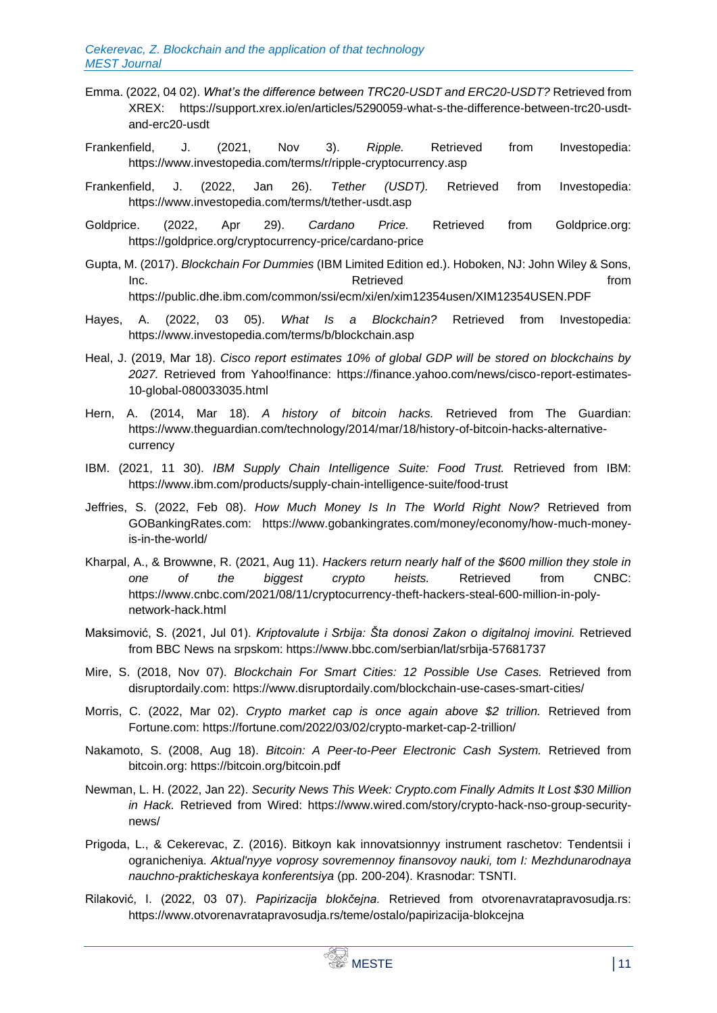- Emma. (2022, 04 02). *What's the difference between TRC20-USDT and ERC20-USDT?* Retrieved from XREX: https://support.xrex.io/en/articles/5290059-what-s-the-difference-between-trc20-usdtand-erc20-usdt
- Frankenfield, J. (2021, Nov 3). *Ripple.* Retrieved from Investopedia: https://www.investopedia.com/terms/r/ripple-cryptocurrency.asp
- Frankenfield, J. (2022, Jan 26). *Tether (USDT).* Retrieved from Investopedia: https://www.investopedia.com/terms/t/tether-usdt.asp
- Goldprice. (2022, Apr 29). *Cardano Price.* Retrieved from Goldprice.org: https://goldprice.org/cryptocurrency-price/cardano-price
- Gupta, M. (2017). *Blockchain For Dummies* (IBM Limited Edition ed.). Hoboken, NJ: John Wiley & Sons, Inc. **Inc. Retrieved example 1 Retrieved** *notative and the set of the set of the set of the set of the set of the set of the set of the set of the set of the set of the set of the set of the set of the set of the s* https://public.dhe.ibm.com/common/ssi/ecm/xi/en/xim12354usen/XIM12354USEN.PDF
- Hayes, A. (2022, 03 05). *What Is a Blockchain?* Retrieved from Investopedia: https://www.investopedia.com/terms/b/blockchain.asp
- Heal, J. (2019, Mar 18). *Cisco report estimates 10% of global GDP will be stored on blockchains by 2027.* Retrieved from Yahoo!finance: https://finance.yahoo.com/news/cisco-report-estimates-10-global-080033035.html
- Hern, A. (2014, Mar 18). *A history of bitcoin hacks.* Retrieved from The Guardian: https://www.theguardian.com/technology/2014/mar/18/history-of-bitcoin-hacks-alternativecurrency
- IBM. (2021, 11 30). *IBM Supply Chain Intelligence Suite: Food Trust.* Retrieved from IBM: https://www.ibm.com/products/supply-chain-intelligence-suite/food-trust
- Jeffries, S. (2022, Feb 08). *How Much Money Is In The World Right Now?* Retrieved from GOBankingRates.com: https://www.gobankingrates.com/money/economy/how-much-moneyis-in-the-world/
- Kharpal, A., & Browwne, R. (2021, Aug 11). *Hackers return nearly half of the \$600 million they stole in one of the biggest crypto heists.* Retrieved from CNBC: https://www.cnbc.com/2021/08/11/cryptocurrency-theft-hackers-steal-600-million-in-polynetwork-hack.html
- Maksimović, S. (2021, Jul 01). *Kriptovalute i Srbija: Šta donosi Zakon o digitalnoj imovini.* Retrieved from BBC News na srpskom: https://www.bbc.com/serbian/lat/srbija-57681737
- Mire, S. (2018, Nov 07). *Blockchain For Smart Cities: 12 Possible Use Cases.* Retrieved from disruptordaily.com: https://www.disruptordaily.com/blockchain-use-cases-smart-cities/
- Morris, C. (2022, Mar 02). *Crypto market cap is once again above \$2 trillion.* Retrieved from Fortune.com: https://fortune.com/2022/03/02/crypto-market-cap-2-trillion/
- Nakamoto, S. (2008, Aug 18). *Bitcoin: A Peer-to-Peer Electronic Cash System.* Retrieved from bitcoin.org: https://bitcoin.org/bitcoin.pdf
- Newman, L. H. (2022, Jan 22). *Security News This Week: Crypto.com Finally Admits It Lost \$30 Million in Hack.* Retrieved from Wired: https://www.wired.com/story/crypto-hack-nso-group-securitynews/
- Prigoda, L., & Cekerevac, Z. (2016). Bitkoyn kak innovatsionnyy instrument raschetov: Tendentsii i ogranicheniya. *Aktual'nyye voprosy sovremennoy finansovoy nauki, tom I: Mezhdunarodnaya nauchno-prakticheskaya konferentsiya* (pp. 200-204). Krasnodar: TSNTI.
- Rilaković, I. (2022, 03 07). *Papirizacija blokčejna.* Retrieved from otvorenavratapravosudja.rs: https://www.otvorenavratapravosudja.rs/teme/ostalo/papirizacija-blokcejna